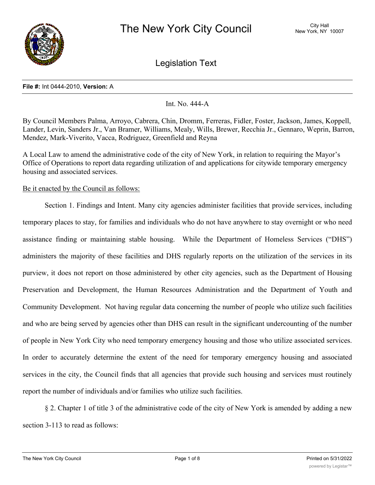

Legislation Text

#### **File #:** Int 0444-2010, **Version:** A

# Int. No. 444-A

By Council Members Palma, Arroyo, Cabrera, Chin, Dromm, Ferreras, Fidler, Foster, Jackson, James, Koppell, Lander, Levin, Sanders Jr., Van Bramer, Williams, Mealy, Wills, Brewer, Recchia Jr., Gennaro, Weprin, Barron, Mendez, Mark-Viverito, Vacca, Rodriguez, Greenfield and Reyna

A Local Law to amend the administrative code of the city of New York, in relation to requiring the Mayor's Office of Operations to report data regarding utilization of and applications for citywide temporary emergency housing and associated services.

## Be it enacted by the Council as follows:

Section 1. Findings and Intent. Many city agencies administer facilities that provide services, including temporary places to stay, for families and individuals who do not have anywhere to stay overnight or who need assistance finding or maintaining stable housing. While the Department of Homeless Services ("DHS") administers the majority of these facilities and DHS regularly reports on the utilization of the services in its purview, it does not report on those administered by other city agencies, such as the Department of Housing Preservation and Development, the Human Resources Administration and the Department of Youth and Community Development. Not having regular data concerning the number of people who utilize such facilities and who are being served by agencies other than DHS can result in the significant undercounting of the number of people in New York City who need temporary emergency housing and those who utilize associated services. In order to accurately determine the extent of the need for temporary emergency housing and associated services in the city, the Council finds that all agencies that provide such housing and services must routinely report the number of individuals and/or families who utilize such facilities.

§ 2. Chapter 1 of title 3 of the administrative code of the city of New York is amended by adding a new section 3-113 to read as follows: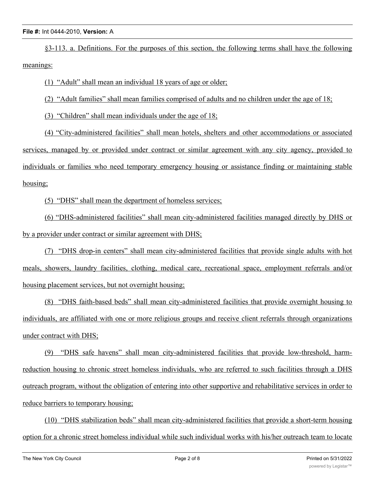§3-113. a. Definitions. For the purposes of this section, the following terms shall have the following meanings:

(1) "Adult" shall mean an individual 18 years of age or older;

(2) "Adult families" shall mean families comprised of adults and no children under the age of 18;

(3) "Children" shall mean individuals under the age of 18;

(4) "City-administered facilities" shall mean hotels, shelters and other accommodations or associated services, managed by or provided under contract or similar agreement with any city agency, provided to individuals or families who need temporary emergency housing or assistance finding or maintaining stable housing;

(5) "DHS" shall mean the department of homeless services;

(6) "DHS-administered facilities" shall mean city-administered facilities managed directly by DHS or by a provider under contract or similar agreement with DHS;

(7) "DHS drop-in centers" shall mean city-administered facilities that provide single adults with hot meals, showers, laundry facilities, clothing, medical care, recreational space, employment referrals and/or housing placement services, but not overnight housing;

(8) "DHS faith-based beds" shall mean city-administered facilities that provide overnight housing to individuals, are affiliated with one or more religious groups and receive client referrals through organizations under contract with DHS;

(9) "DHS safe havens" shall mean city-administered facilities that provide low-threshold, harmreduction housing to chronic street homeless individuals, who are referred to such facilities through a DHS outreach program, without the obligation of entering into other supportive and rehabilitative services in order to reduce barriers to temporary housing;

(10) "DHS stabilization beds" shall mean city-administered facilities that provide a short-term housing option for a chronic street homeless individual while such individual works with his/her outreach team to locate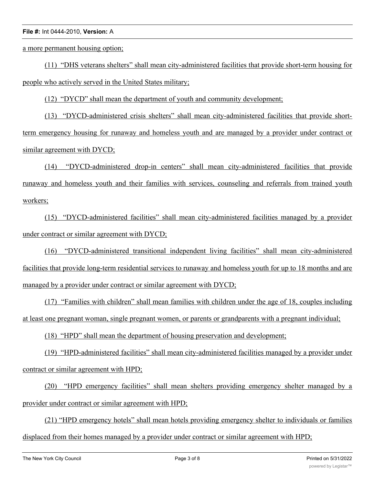a more permanent housing option;

(11) "DHS veterans shelters" shall mean city-administered facilities that provide short-term housing for people who actively served in the United States military;

(12) "DYCD" shall mean the department of youth and community development;

(13) "DYCD-administered crisis shelters" shall mean city-administered facilities that provide shortterm emergency housing for runaway and homeless youth and are managed by a provider under contract or similar agreement with DYCD;

(14) "DYCD-administered drop-in centers" shall mean city-administered facilities that provide runaway and homeless youth and their families with services, counseling and referrals from trained youth workers;

(15) "DYCD-administered facilities" shall mean city-administered facilities managed by a provider under contract or similar agreement with DYCD;

(16) "DYCD-administered transitional independent living facilities" shall mean city-administered facilities that provide long-term residential services to runaway and homeless youth for up to 18 months and are managed by a provider under contract or similar agreement with DYCD;

(17) "Families with children" shall mean families with children under the age of 18, couples including at least one pregnant woman, single pregnant women, or parents or grandparents with a pregnant individual;

(18) "HPD" shall mean the department of housing preservation and development;

(19) "HPD-administered facilities" shall mean city-administered facilities managed by a provider under contract or similar agreement with HPD;

(20) "HPD emergency facilities" shall mean shelters providing emergency shelter managed by a provider under contract or similar agreement with HPD;

(21) "HPD emergency hotels" shall mean hotels providing emergency shelter to individuals or families displaced from their homes managed by a provider under contract or similar agreement with HPD;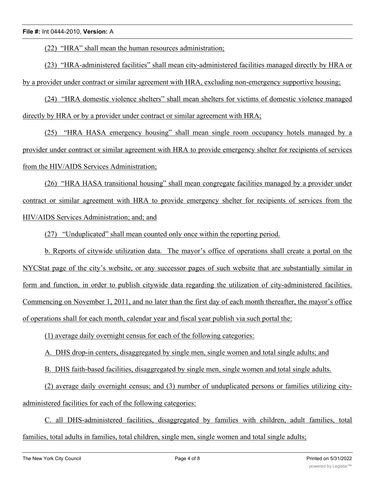(22) "HRA" shall mean the human resources administration;

(23) "HRA-administered facilities" shall mean city-administered facilities managed directly by HRA or by a provider under contract or similar agreement with HRA, excluding non-emergency supportive housing;

(24) "HRA domestic violence shelters" shall mean shelters for victims of domestic violence managed directly by HRA or by a provider under contract or similar agreement with HRA;

(25) "HRA HASA emergency housing" shall mean single room occupancy hotels managed by a provider under contract or similar agreement with HRA to provide emergency shelter for recipients of services from the HIV/AIDS Services Administration;

(26) "HRA HASA transitional housing" shall mean congregate facilities managed by a provider under contract or similar agreement with HRA to provide emergency shelter for recipients of services from the HIV/AIDS Services Administration; and; and

(27) "Unduplicated" shall mean counted only once within the reporting period.

b. Reports of citywide utilization data. The mayor's office of operations shall create a portal on the NYCStat page of the city's website, or any successor pages of such website that are substantially similar in form and function, in order to publish citywide data regarding the utilization of city-administered facilities. Commencing on November 1, 2011, and no later than the first day of each month thereafter, the mayor's office of operations shall for each month, calendar year and fiscal year publish via such portal the:

(1) average daily overnight census for each of the following categories:

A. DHS drop-in centers, disaggregated by single men, single women and total single adults; and

B. DHS faith-based facilities, disaggregated by single men, single women and total single adults.

(2) average daily overnight census; and (3) number of unduplicated persons or families utilizing cityadministered facilities for each of the following categories:

C. all DHS-administered facilities, disaggregated by families with children, adult families, total families, total adults in families, total children, single men, single women and total single adults;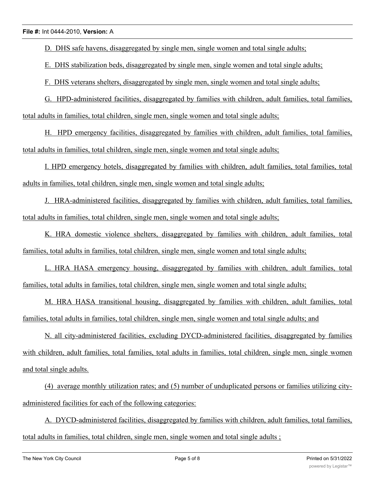D. DHS safe havens, disaggregated by single men, single women and total single adults;

E. DHS stabilization beds, disaggregated by single men, single women and total single adults;

F. DHS veterans shelters, disaggregated by single men, single women and total single adults;

G. HPD-administered facilities, disaggregated by families with children, adult families, total families, total adults in families, total children, single men, single women and total single adults;

H. HPD emergency facilities, disaggregated by families with children, adult families, total families, total adults in families, total children, single men, single women and total single adults;

I. HPD emergency hotels, disaggregated by families with children, adult families, total families, total adults in families, total children, single men, single women and total single adults;

J. HRA-administered facilities, disaggregated by families with children, adult families, total families, total adults in families, total children, single men, single women and total single adults;

K. HRA domestic violence shelters, disaggregated by families with children, adult families, total families, total adults in families, total children, single men, single women and total single adults;

L. HRA HASA emergency housing, disaggregated by families with children, adult families, total families, total adults in families, total children, single men, single women and total single adults;

M. HRA HASA transitional housing, disaggregated by families with children, adult families, total families, total adults in families, total children, single men, single women and total single adults; and

N. all city-administered facilities, excluding DYCD-administered facilities, disaggregated by families with children, adult families, total families, total adults in families, total children, single men, single women and total single adults.

(4) average monthly utilization rates; and (5) number of unduplicated persons or families utilizing cityadministered facilities for each of the following categories:

A. DYCD-administered facilities, disaggregated by families with children, adult families, total families, total adults in families, total children, single men, single women and total single adults ;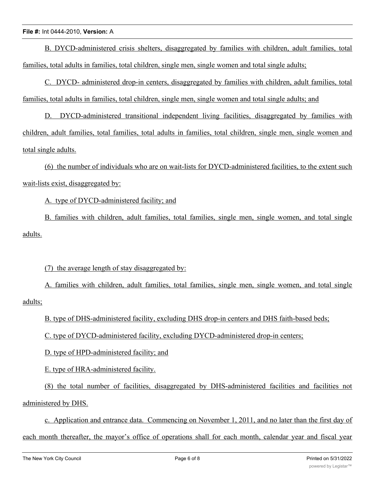B. DYCD-administered crisis shelters, disaggregated by families with children, adult families, total families, total adults in families, total children, single men, single women and total single adults;

C. DYCD- administered drop-in centers, disaggregated by families with children, adult families, total families, total adults in families, total children, single men, single women and total single adults; and

D. DYCD-administered transitional independent living facilities, disaggregated by families with children, adult families, total families, total adults in families, total children, single men, single women and total single adults.

(6) the number of individuals who are on wait-lists for DYCD-administered facilities, to the extent such wait-lists exist, disaggregated by:

A. type of DYCD-administered facility; and

B. families with children, adult families, total families, single men, single women, and total single adults.

(7) the average length of stay disaggregated by:

A. families with children, adult families, total families, single men, single women, and total single adults;

B. type of DHS-administered facility, excluding DHS drop-in centers and DHS faith-based beds;

C. type of DYCD-administered facility, excluding DYCD-administered drop-in centers;

D. type of HPD-administered facility; and

E. type of HRA-administered facility.

(8) the total number of facilities, disaggregated by DHS-administered facilities and facilities not administered by DHS.

c. Application and entrance data. Commencing on November 1, 2011, and no later than the first day of each month thereafter, the mayor's office of operations shall for each month, calendar year and fiscal year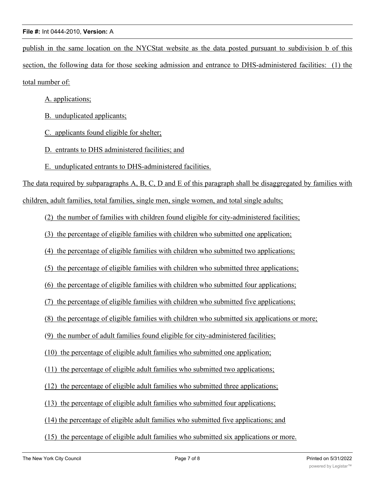publish in the same location on the NYCStat website as the data posted pursuant to subdivision b of this section, the following data for those seeking admission and entrance to DHS-administered facilities: (1) the total number of:

A. applications;

- B. unduplicated applicants;
- C. applicants found eligible for shelter;
- D. entrants to DHS administered facilities; and
- E. unduplicated entrants to DHS-administered facilities.

The data required by subparagraphs A, B, C, D and E of this paragraph shall be disaggregated by families with children, adult families, total families, single men, single women, and total single adults;

(2) the number of families with children found eligible for city-administered facilities;

(3) the percentage of eligible families with children who submitted one application;

(4) the percentage of eligible families with children who submitted two applications;

(5) the percentage of eligible families with children who submitted three applications;

(6) the percentage of eligible families with children who submitted four applications;

(7) the percentage of eligible families with children who submitted five applications;

(8) the percentage of eligible families with children who submitted six applications or more;

(9) the number of adult families found eligible for city-administered facilities;

(10) the percentage of eligible adult families who submitted one application;

(11) the percentage of eligible adult families who submitted two applications;

(12) the percentage of eligible adult families who submitted three applications;

(13) the percentage of eligible adult families who submitted four applications;

- (14) the percentage of eligible adult families who submitted five applications; and
- (15) the percentage of eligible adult families who submitted six applications or more.